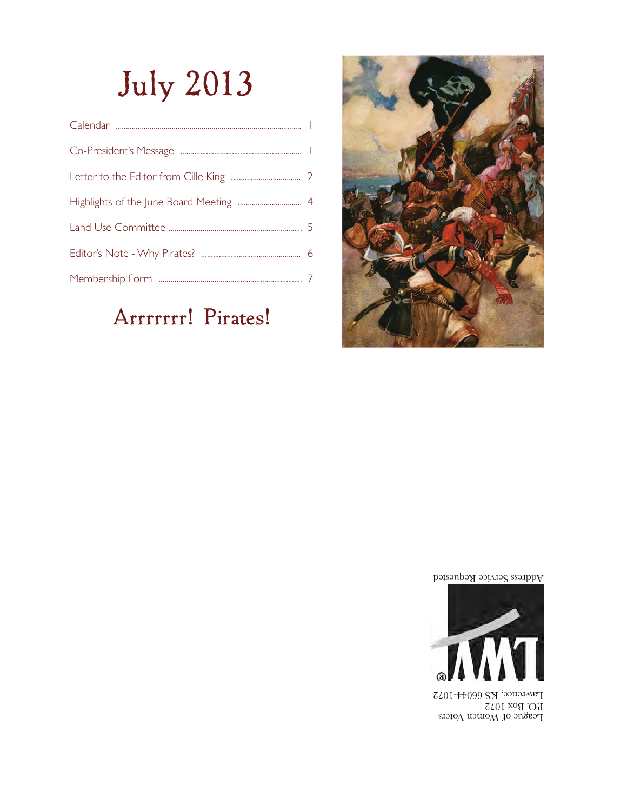# July 2013

## Arrrrrrr! Pirates!



Address Service Requested



League of Women Voters P.O. Box 1072 Lawrence, KS 66044-1072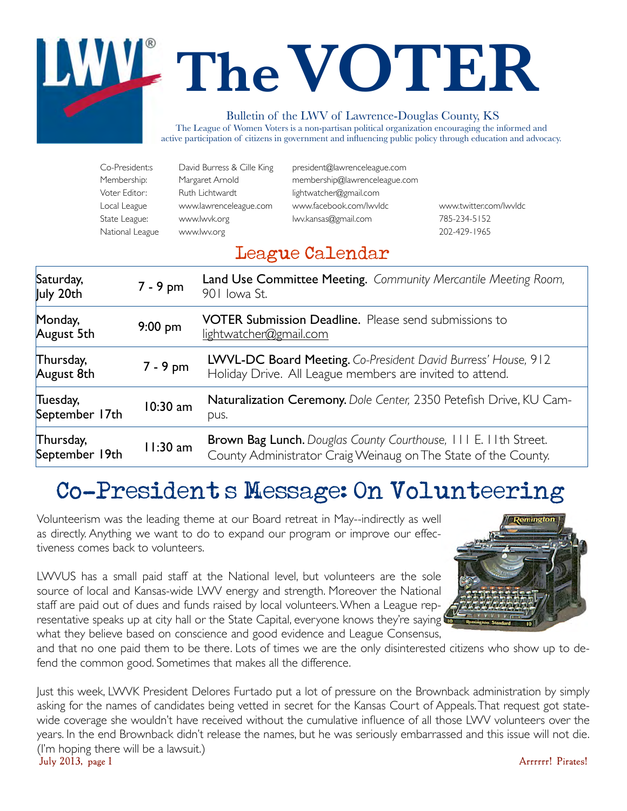# **TheVOTER** Bulletin of the LWV of Lawrence-Douglas County, KS

The League of Women Voters is a non-partisan political organization encouraging the informed and active participation of citizens in government and influencing public policy through education and advocacy.

| Co-President:s  | David Burress & Cille King | president@lawrenceleague.com  |                |
|-----------------|----------------------------|-------------------------------|----------------|
| Membership:     | Margaret Arnold            | membership@lawrenceleague.com |                |
| Voter Editor:   | Ruth Lichtwardt            | lightwatcher@gmail.com        |                |
| Local League    | www.lawrenceleague.com     | www.facebook.com/lwvldc       | www.twitter.co |
| State League:   | www.lwvk.org               | lwy.kansas@gmail.com          | 785-234-5152   |
| National League | www lwy org                |                               | 202-429-1965   |

[www.twitter.com/lwvldc](http://www.twitter.com/lwvldc) 202-429-1965

### League Calendar

| Saturday,<br>July 20th      | 7 - 9 pm   | Land Use Committee Meeting. Community Mercantile Meeting Room,<br>901 Iowa St.                                                           |
|-----------------------------|------------|------------------------------------------------------------------------------------------------------------------------------------------|
| Monday,<br>August 5th       | $9:00$ pm  | <b>VOTER Submission Deadline.</b> Please send submissions to<br>lightwatcher@gmail.com                                                   |
| Thursday,<br>August 8th     | 7 - 9 pm   | LWVL-DC Board Meeting. Co-President David Burress' House, 912<br>Holiday Drive. All League members are invited to attend.                |
| Tuesday,<br>September 17th  | $10:30$ am | Naturalization Ceremony. Dole Center, 2350 Petefish Drive, KU Cam-<br>pus.                                                               |
| Thursday,<br>September 19th | 11:30 am   | <b>Brown Bag Lunch.</b> Douglas County Courthouse, 111 E. 11th Street.<br>County Administrator Craig Weinaug on The State of the County. |

# Co-President's Message: On Volunteering

Volunteerism was the leading theme at our Board retreat in May--indirectly as well as directly. Anything we want to do to expand our program or improve our effectiveness comes back to volunteers.

LWVUS has a small paid staff at the National level, but volunteers are the sole source of local and Kansas-wide LWV energy and strength. Moreover the National staff are paid out of dues and funds raised by local volunteers. When a League representative speaks up at city hall or the State Capital, everyone knows they're saying what they believe based on conscience and good evidence and League Consensus,



and that no one paid them to be there. Lots of times we are the only disinterested citizens who show up to defend the common good. Sometimes that makes all the difference.

Just this week, LWVK President Delores Furtado put a lot of pressure on the Brownback administration by simply asking for the names of candidates being vetted in secret for the Kansas Court of Appeals. That request got statewide coverage she wouldn't have received without the cumulative influence of all those LWV volunteers over the years. In the end Brownback didn't release the names, but he was seriously embarrassed and this issue will not die. (I'm hoping there will be a lawsuit.) July 2013, page 1 Arrrrrr! Pirates!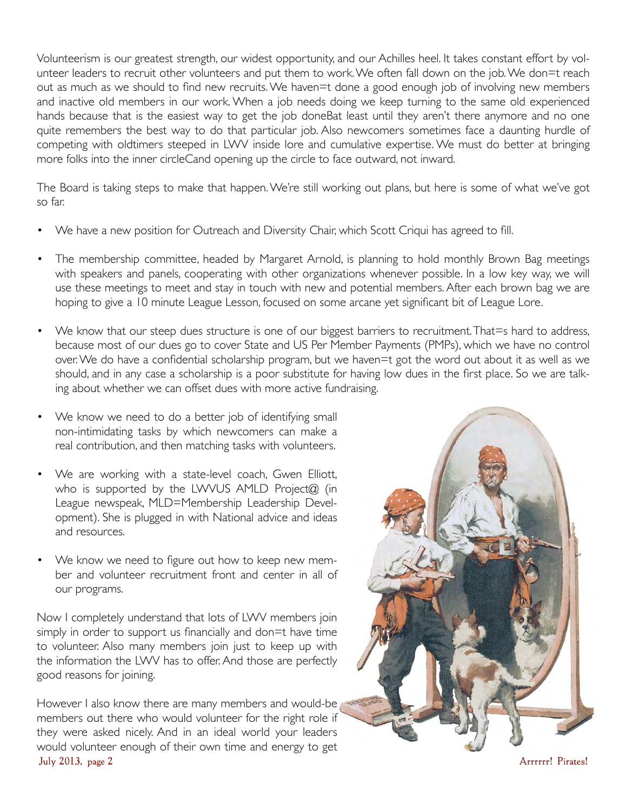Volunteerism is our greatest strength, our widest opportunity, and our Achilles heel. It takes constant effort by volunteer leaders to recruit other volunteers and put them to work. We often fall down on the job. We don=t reach out as much as we should to find new recruits. We haven=t done a good enough job of involving new members and inactive old members in our work. When a job needs doing we keep turning to the same old experienced hands because that is the easiest way to get the job doneBat least until they aren't there anymore and no one quite remembers the best way to do that particular job. Also newcomers sometimes face a daunting hurdle of competing with oldtimers steeped in LWV inside lore and cumulative expertise. We must do better at bringing more folks into the inner circleCand opening up the circle to face outward, not inward.

The Board is taking steps to make that happen. We're still working out plans, but here is some of what we've got so far.

- We have a new position for Outreach and Diversity Chair, which Scott Criqui has agreed to fill.
- The membership committee, headed by Margaret Arnold, is planning to hold monthly Brown Bag meetings with speakers and panels, cooperating with other organizations whenever possible. In a low key way, we will use these meetings to meet and stay in touch with new and potential members. After each brown bag we are hoping to give a 10 minute League Lesson, focused on some arcane yet significant bit of League Lore.
- We know that our steep dues structure is one of our biggest barriers to recruitment. That=s hard to address, because most of our dues go to cover State and US Per Member Payments (PMPs), which we have no control over. We do have a confidential scholarship program, but we haven=t got the word out about it as well as we should, and in any case a scholarship is a poor substitute for having low dues in the first place. So we are talking about whether we can offset dues with more active fundraising.
- We know we need to do a better job of identifying small non-intimidating tasks by which newcomers can make a real contribution, and then matching tasks with volunteers.
- We are working with a state-level coach, Gwen Elliott, who is supported by the LWVUS AMLD Project@ (in League newspeak, MLD=Membership Leadership Development). She is plugged in with National advice and ideas and resources.
- We know we need to figure out how to keep new member and volunteer recruitment front and center in all of our programs.

Now I completely understand that lots of LWV members join simply in order to support us financially and don=t have time to volunteer. Also many members join just to keep up with the information the LWV has to offer. And those are perfectly good reasons for joining.

However I also know there are many members and would-be members out there who would volunteer for the right role if they were asked nicely. And in an ideal world your leaders would volunteer enough of their own time and energy to get July 2013, page 2 Arrrrrr! Pirates!

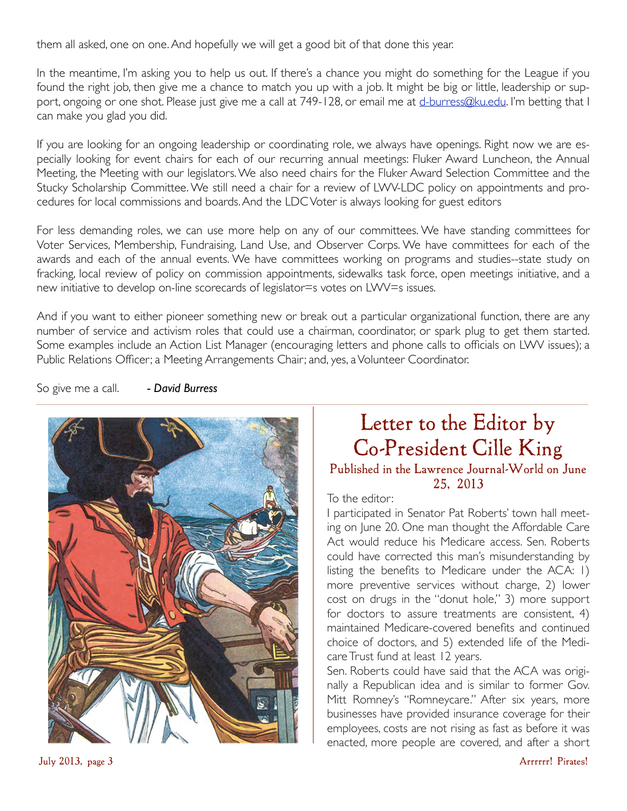them all asked, one on one. And hopefully we will get a good bit of that done this year.

In the meantime, I'm asking you to help us out. If there's a chance you might do something for the League if you found the right job, then give me a chance to match you up with a job. It might be big or little, leadership or support, ongoing or one shot. Please just give me a call at 749-128, or email me at [d-burress@ku.edu](mailto:d-burress@ku.edu). I'm betting that I can make you glad you did.

If you are looking for an ongoing leadership or coordinating role, we always have openings. Right now we are especially looking for event chairs for each of our recurring annual meetings: Fluker Award Luncheon, the Annual Meeting, the Meeting with our legislators. We also need chairs for the Fluker Award Selection Committee and the Stucky Scholarship Committee. We still need a chair for a review of LWV-LDC policy on appointments and procedures for local commissions and boards. And the LDC Voter is always looking for guest editors

For less demanding roles, we can use more help on any of our committees. We have standing committees for Voter Services, Membership, Fundraising, Land Use, and Observer Corps. We have committees for each of the awards and each of the annual events. We have committees working on programs and studies--state study on fracking, local review of policy on commission appointments, sidewalks task force, open meetings initiative, and a new initiative to develop on-line scorecards of legislator=s votes on LWV=s issues.

And if you want to either pioneer something new or break out a particular organizational function, there are any number of service and activism roles that could use a chairman, coordinator, or spark plug to get them started. Some examples include an Action List Manager (encouraging letters and phone calls to officials on LWV issues); a Public Relations Officer; a Meeting Arrangements Chair; and, yes, a Volunteer Coordinator.

So give me a call. *- David Burress*



## Letter to the Editor by Co-President Cille King

#### Published in the Lawrence Journal-World on June 25, 2013

#### To the editor:

I participated in Senator Pat Roberts' town hall meeting on June 20. One man thought the Affordable Care Act would reduce his Medicare access. Sen. Roberts could have corrected this man's misunderstanding by listing the benefits to Medicare under the ACA: 1) more preventive services without charge, 2) lower cost on drugs in the "donut hole," 3) more support for doctors to assure treatments are consistent, 4) maintained Medicare-covered benefits and continued choice of doctors, and 5) extended life of the Medicare Trust fund at least 12 years.

Sen. Roberts could have said that the ACA was originally a Republican idea and is similar to former Gov. Mitt Romney's "Romneycare." After six years, more businesses have provided insurance coverage for their employees, costs are not rising as fast as before it was enacted, more people are covered, and after a short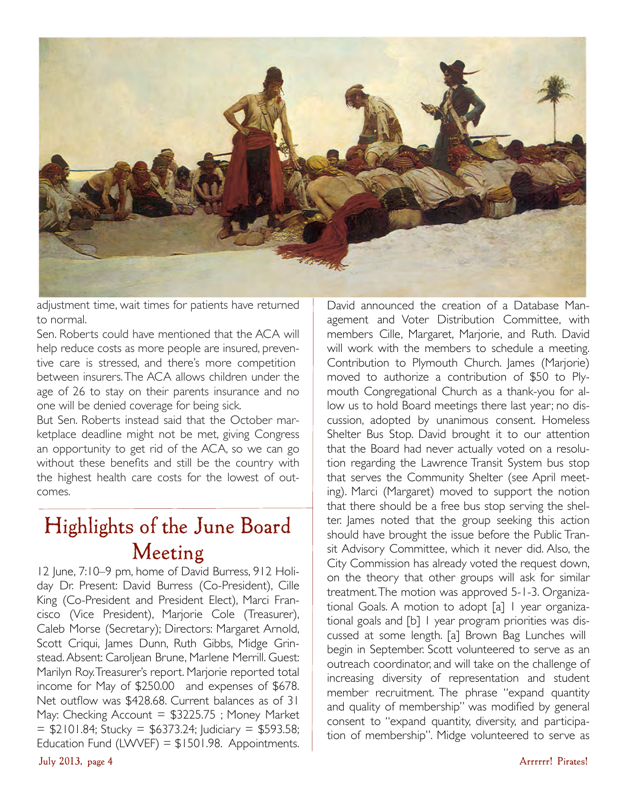

adjustment time, wait times for patients have returned to normal.

Sen. Roberts could have mentioned that the ACA will help reduce costs as more people are insured, preventive care is stressed, and there's more competition between insurers. The ACA allows children under the age of 26 to stay on their parents insurance and no one will be denied coverage for being sick.

But Sen. Roberts instead said that the October marketplace deadline might not be met, giving Congress an opportunity to get rid of the ACA, so we can go without these benefits and still be the country with the highest health care costs for the lowest of outcomes.

### Highlights of the June Board Meeting

12 June, 7:10–9 pm, home of David Burress, 912 Holiday Dr. Present: David Burress (Co-President), Cille King (Co-President and President Elect), Marci Francisco (Vice President), Marjorie Cole (Treasurer), Caleb Morse (Secretary); Directors: Margaret Arnold, Scott Criqui, James Dunn, Ruth Gibbs, Midge Grinstead. Absent: Caroljean Brune, Marlene Merrill. Guest: Marilyn Roy. Treasurer's report. Marjorie reported total income for May of \$250.00 and expenses of \$678. Net outflow was \$428.68. Current balances as of 31 May: Checking Account  $=$  \$3225.75 ; Money Market  $=$  \$2101.84; Stucky = \$6373.24; Judiciary = \$593.58; Education Fund (LWVEF) =  $$1501.98$ . Appointments.

David announced the creation of a Database Management and Voter Distribution Committee, with members Cille, Margaret, Marjorie, and Ruth. David will work with the members to schedule a meeting. Contribution to Plymouth Church. James (Marjorie) moved to authorize a contribution of \$50 to Plymouth Congregational Church as a thank-you for allow us to hold Board meetings there last year; no discussion, adopted by unanimous consent. Homeless Shelter Bus Stop. David brought it to our attention that the Board had never actually voted on a resolution regarding the Lawrence Transit System bus stop that serves the Community Shelter (see April meeting). Marci (Margaret) moved to support the notion that there should be a free bus stop serving the shelter. James noted that the group seeking this action should have brought the issue before the Public Transit Advisory Committee, which it never did. Also, the City Commission has already voted the request down, on the theory that other groups will ask for similar treatment. The motion was approved 5-1-3. Organizational Goals. A motion to adopt [a] 1 year organizational goals and [b] 1 year program priorities was discussed at some length. [a] Brown Bag Lunches will begin in September. Scott volunteered to serve as an outreach coordinator, and will take on the challenge of increasing diversity of representation and student member recruitment. The phrase "expand quantity and quality of membership" was modified by general consent to "expand quantity, diversity, and participation of membership". Midge volunteered to serve as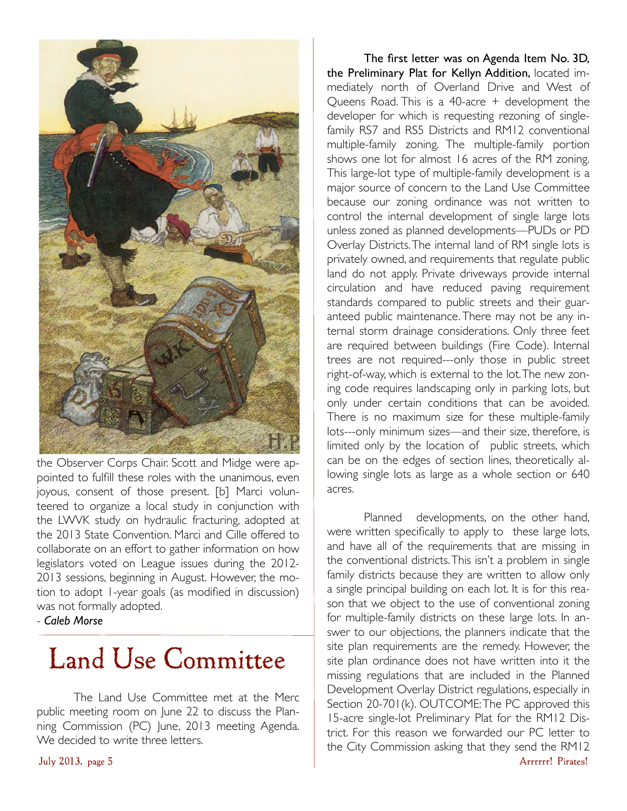

the Observer Corps Chair. Scott and Midge were appointed to fulfill these roles with the unanimous, even joyous, consent of those present. [b] Marci volunteered to organize a local study in conjunction with the LWVK study on hydraulic fracturing, adopted at the 2013 State Convention. Marci and Cille offered to collaborate on an effort to gather information on how legislators voted on League issues during the 2012- 2013 sessions, beginning in August. However, the motion to adopt 1-year goals (as modified in discussion) was not formally adopted.

- *Caleb Morse*

# Land Use Committee

The Land Use Committee met at the Merc public meeting room on June 22 to discuss the Planning Commission (PC) June, 2013 meeting Agenda. We decided to write three letters.

The first letter was on Agenda Item No. 3D, the Preliminary Plat for Kellyn Addition, located immediately north of Overland Drive and West of Queens Road. This is a 40-acre + development the developer for which is requesting rezoning of singlefamily RS7 and RS5 Districts and RM12 conventional multiple-family zoning. The multiple-family portion shows one lot for almost 16 acres of the RM zoning. This large-lot type of multiple-family development is a major source of concern to the Land Use Committee because our zoning ordinance was not written to control the internal development of single large lots unless zoned as planned developments—PUDs or PD Overlay Districts. The internal land of RM single lots is privately owned, and requirements that regulate public land do not apply. Private driveways provide internal circulation and have reduced paving requirement standards compared to public streets and their guaranteed public maintenance. There may not be any internal storm drainage considerations. Only three feet are required between buildings (Fire Code). Internal trees are not required---only those in public street right-of-way, which is external to the lot. The new zoning code requires landscaping only in parking lots, but only under certain conditions that can be avoided. There is no maximum size for these multiple-family lots---only minimum sizes—and their size, therefore, is limited only by the location of public streets, which can be on the edges of section lines, theoretically allowing single lots as large as a whole section or 640 acres.

Planned developments, on the other hand, were written specifically to apply to these large lots, and have all of the requirements that are missing in the conventional districts. This isn't a problem in single family districts because they are written to allow only a single principal building on each lot. It is for this reason that we object to the use of conventional zoning for multiple-family districts on these large lots. In answer to our objections, the planners indicate that the site plan requirements are the remedy. However, the site plan ordinance does not have written into it the missing regulations that are included in the Planned Development Overlay District regulations, especially in Section 20-701(k). OUTCOME: The PC approved this 15-acre single-lot Preliminary Plat for the RM12 District. For this reason we forwarded our PC letter to the City Commission asking that they send the RM12 July 2013, page 5 Arrrrrr! Pirates!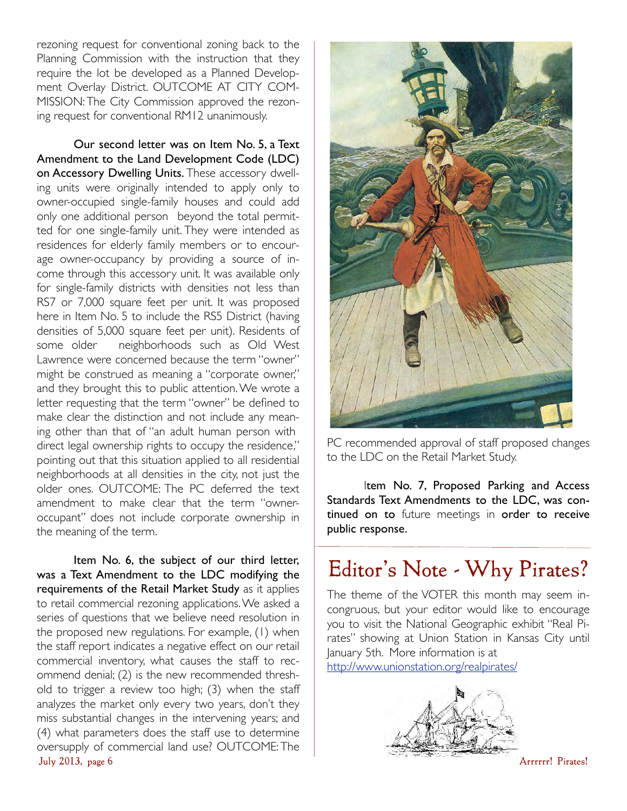rezoning request for conventional zoning back to the Planning Commission with the instruction that they require the lot be developed as a Planned Development Overlay District. OUTCOME AT CITY COM-MISSION: The City Commission approved the rezoning request for conventional RM12 unanimously.

Our second letter was on Item No. 5, a Text Amendment to the Land Development Code (LDC) on Accessory Dwelling Units. These accessory dwelling units were originally intended to apply only to owner-occupied single-family houses and could add only one additional person beyond the total permitted for one single-family unit. They were intended as residences for elderly family members or to encourage owner-occupancy by providing a source of income through this accessory unit. It was available only for single-family districts with densities not less than RS7 or 7,000 square feet per unit. It was proposed here in Item No. 5 to include the RS5 District (having densities of 5,000 square feet per unit). Residents of some older neighborhoods such as Old West Lawrence were concerned because the term "owner" might be construed as meaning a "corporate owner," and they brought this to public attention. We wrote a letter requesting that the term "owner" be defined to make clear the distinction and not include any meaning other than that of "an adult human person with direct legal ownership rights to occupy the residence," pointing out that this situation applied to all residential neighborhoods at all densities in the city, not just the older ones. OUTCOME: The PC deferred the text amendment to make clear that the term "owneroccupant" does not include corporate ownership in the meaning of the term.

Item No. 6, the subject of our third letter, was a Text Amendment to the LDC modifying the requirements of the Retail Market Study as it applies to retail commercial rezoning applications. We asked a series of questions that we believe need resolution in the proposed new regulations. For example, (1) when the staff report indicates a negative effect on our retail commercial inventory, what causes the staff to recommend denial; (2) is the new recommended threshold to trigger a review too high; (3) when the staff analyzes the market only every two years, don't they miss substantial changes in the intervening years; and (4) what parameters does the staff use to determine oversupply of commercial land use? OUTCOME: The July 2013, page 6 Arrrrrr! Pirates!



PC recommended approval of staff proposed changes to the LDC on the Retail Market Study.

Item No. 7, Proposed Parking and Access Standards Text Amendments to the LDC, was continued on to future meetings in order to receive public response.

# Editor's Note - Why Pirates?

The theme of the VOTER this month may seem incongruous, but your editor would like to encourage you to visit the National Geographic exhibit "Real Pirates" showing at Union Station in Kansas City until January 5th. More information is at <http://www.unionstation.org/realpirates/>